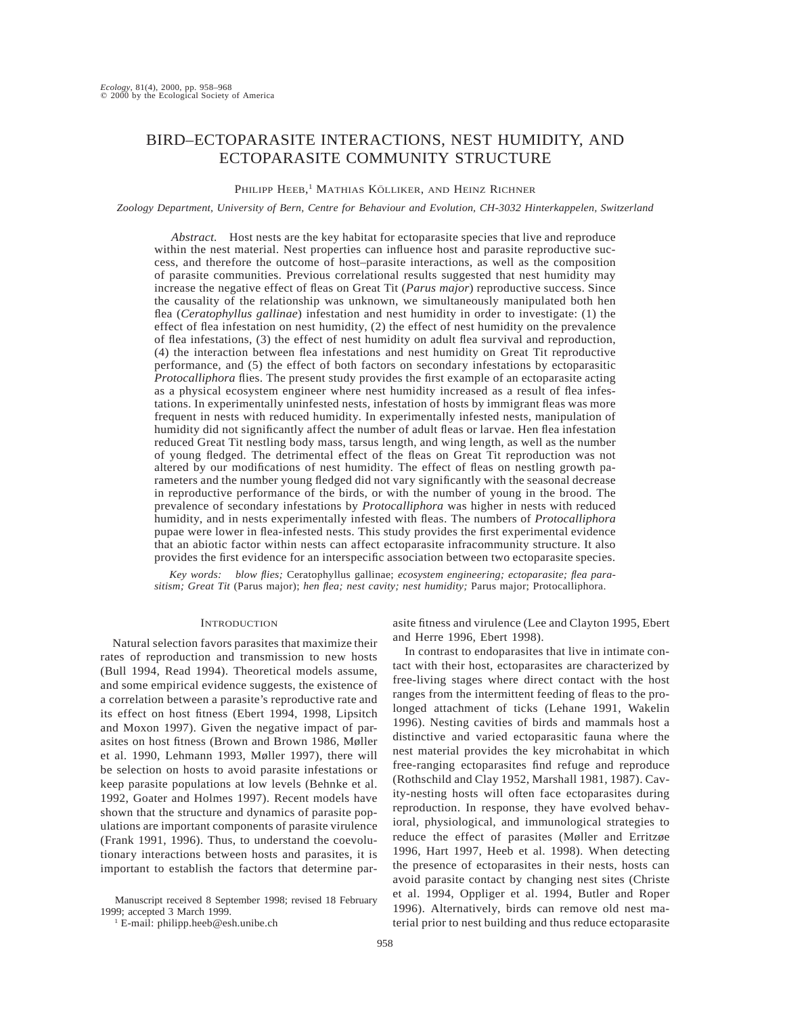# BIRD–ECTOPARASITE INTERACTIONS, NEST HUMIDITY, AND ECTOPARASITE COMMUNITY STRUCTURE

### PHILIPP HEEB,<sup>1</sup> MATHIAS KÖLLIKER, AND HEINZ RICHNER

*Zoology Department, University of Bern, Centre for Behaviour and Evolution, CH-3032 Hinterkappelen, Switzerland*

*Abstract.* Host nests are the key habitat for ectoparasite species that live and reproduce within the nest material. Nest properties can influence host and parasite reproductive success, and therefore the outcome of host–parasite interactions, as well as the composition of parasite communities. Previous correlational results suggested that nest humidity may increase the negative effect of fleas on Great Tit (*Parus major*) reproductive success. Since the causality of the relationship was unknown, we simultaneously manipulated both hen flea (*Ceratophyllus gallinae*) infestation and nest humidity in order to investigate: (1) the effect of flea infestation on nest humidity, (2) the effect of nest humidity on the prevalence of flea infestations, (3) the effect of nest humidity on adult flea survival and reproduction, (4) the interaction between flea infestations and nest humidity on Great Tit reproductive performance, and (5) the effect of both factors on secondary infestations by ectoparasitic *Protocalliphora* flies. The present study provides the first example of an ectoparasite acting as a physical ecosystem engineer where nest humidity increased as a result of flea infestations. In experimentally uninfested nests, infestation of hosts by immigrant fleas was more frequent in nests with reduced humidity. In experimentally infested nests, manipulation of humidity did not significantly affect the number of adult fleas or larvae. Hen flea infestation reduced Great Tit nestling body mass, tarsus length, and wing length, as well as the number of young fledged. The detrimental effect of the fleas on Great Tit reproduction was not altered by our modifications of nest humidity. The effect of fleas on nestling growth parameters and the number young fledged did not vary significantly with the seasonal decrease in reproductive performance of the birds, or with the number of young in the brood. The prevalence of secondary infestations by *Protocalliphora* was higher in nests with reduced humidity, and in nests experimentally infested with fleas. The numbers of *Protocalliphora* pupae were lower in flea-infested nests. This study provides the first experimental evidence that an abiotic factor within nests can affect ectoparasite infracommunity structure. It also provides the first evidence for an interspecific association between two ectoparasite species.

*Key words: blow flies;* Ceratophyllus gallinae; *ecosystem engineering; ectoparasite; flea parasitism; Great Tit* (Parus major); *hen flea; nest cavity; nest humidity;* Parus major; Protocalliphora.

### **INTRODUCTION**

Natural selection favors parasites that maximize their rates of reproduction and transmission to new hosts (Bull 1994, Read 1994). Theoretical models assume, and some empirical evidence suggests, the existence of a correlation between a parasite's reproductive rate and its effect on host fitness (Ebert 1994, 1998, Lipsitch and Moxon 1997). Given the negative impact of parasites on host fitness (Brown and Brown 1986, Møller et al. 1990, Lehmann 1993, Møller 1997), there will be selection on hosts to avoid parasite infestations or keep parasite populations at low levels (Behnke et al. 1992, Goater and Holmes 1997). Recent models have shown that the structure and dynamics of parasite populations are important components of parasite virulence (Frank 1991, 1996). Thus, to understand the coevolutionary interactions between hosts and parasites, it is important to establish the factors that determine par-

<sup>1</sup> E-mail: philipp.heeb@esh.unibe.ch

asite fitness and virulence (Lee and Clayton 1995, Ebert and Herre 1996, Ebert 1998).

In contrast to endoparasites that live in intimate contact with their host, ectoparasites are characterized by free-living stages where direct contact with the host ranges from the intermittent feeding of fleas to the prolonged attachment of ticks (Lehane 1991, Wakelin 1996). Nesting cavities of birds and mammals host a distinctive and varied ectoparasitic fauna where the nest material provides the key microhabitat in which free-ranging ectoparasites find refuge and reproduce (Rothschild and Clay 1952, Marshall 1981, 1987). Cavity-nesting hosts will often face ectoparasites during reproduction. In response, they have evolved behavioral, physiological, and immunological strategies to reduce the effect of parasites (Møller and Erritzøe 1996, Hart 1997, Heeb et al. 1998). When detecting the presence of ectoparasites in their nests, hosts can avoid parasite contact by changing nest sites (Christe et al. 1994, Oppliger et al. 1994, Butler and Roper 1996). Alternatively, birds can remove old nest material prior to nest building and thus reduce ectoparasite

Manuscript received 8 September 1998; revised 18 February 1999; accepted 3 March 1999.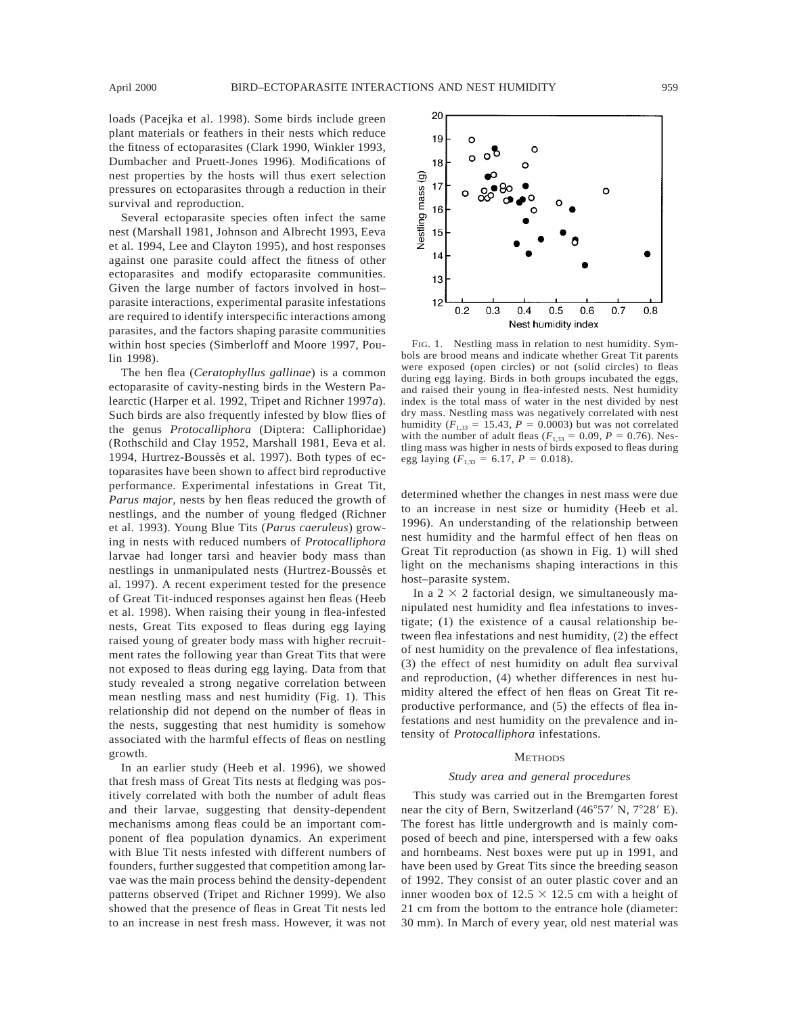loads (Pacejka et al. 1998). Some birds include green plant materials or feathers in their nests which reduce the fitness of ectoparasites (Clark 1990, Winkler 1993, Dumbacher and Pruett-Jones 1996). Modifications of nest properties by the hosts will thus exert selection pressures on ectoparasites through a reduction in their survival and reproduction.

Several ectoparasite species often infect the same nest (Marshall 1981, Johnson and Albrecht 1993, Eeva et al. 1994, Lee and Clayton 1995), and host responses against one parasite could affect the fitness of other ectoparasites and modify ectoparasite communities. Given the large number of factors involved in host– parasite interactions, experimental parasite infestations are required to identify interspecific interactions among parasites, and the factors shaping parasite communities within host species (Simberloff and Moore 1997, Poulin 1998).

The hen flea (*Ceratophyllus gallinae*) is a common ectoparasite of cavity-nesting birds in the Western Palearctic (Harper et al. 1992, Tripet and Richner 1997*a*). Such birds are also frequently infested by blow flies of the genus *Protocalliphora* (Diptera: Calliphoridae) (Rothschild and Clay 1952, Marshall 1981, Eeva et al. 1994, Hurtrez-Boussès et al. 1997). Both types of ectoparasites have been shown to affect bird reproductive performance. Experimental infestations in Great Tit, *Parus major,* nests by hen fleas reduced the growth of nestlings, and the number of young fledged (Richner et al. 1993). Young Blue Tits (*Parus caeruleus*) growing in nests with reduced numbers of *Protocalliphora* larvae had longer tarsi and heavier body mass than nestlings in unmanipulated nests (Hurtrez-Boussès et al. 1997). A recent experiment tested for the presence of Great Tit-induced responses against hen fleas (Heeb et al. 1998). When raising their young in flea-infested nests, Great Tits exposed to fleas during egg laying raised young of greater body mass with higher recruitment rates the following year than Great Tits that were not exposed to fleas during egg laying. Data from that study revealed a strong negative correlation between mean nestling mass and nest humidity (Fig. 1). This relationship did not depend on the number of fleas in the nests, suggesting that nest humidity is somehow associated with the harmful effects of fleas on nestling growth.

In an earlier study (Heeb et al. 1996), we showed that fresh mass of Great Tits nests at fledging was positively correlated with both the number of adult fleas and their larvae, suggesting that density-dependent mechanisms among fleas could be an important component of flea population dynamics. An experiment with Blue Tit nests infested with different numbers of founders, further suggested that competition among larvae was the main process behind the density-dependent patterns observed (Tripet and Richner 1999). We also showed that the presence of fleas in Great Tit nests led to an increase in nest fresh mass. However, it was not



FIG. 1. Nestling mass in relation to nest humidity. Symbols are brood means and indicate whether Great Tit parents were exposed (open circles) or not (solid circles) to fleas during egg laying. Birds in both groups incubated the eggs, and raised their young in flea-infested nests. Nest humidity index is the total mass of water in the nest divided by nest dry mass. Nestling mass was negatively correlated with nest humidity ( $F_{1,33} = 15.43$ ,  $P = 0.0003$ ) but was not correlated with the number of adult fleas ( $F_{1,33} = 0.09$ ,  $P = 0.76$ ). Nestling mass was higher in nests of birds exposed to fleas during egg laying  $(F_{1,33} = 6.17, P = 0.018)$ .

determined whether the changes in nest mass were due to an increase in nest size or humidity (Heeb et al. 1996). An understanding of the relationship between nest humidity and the harmful effect of hen fleas on Great Tit reproduction (as shown in Fig. 1) will shed light on the mechanisms shaping interactions in this host–parasite system.

In a  $2 \times 2$  factorial design, we simultaneously manipulated nest humidity and flea infestations to investigate; (1) the existence of a causal relationship between flea infestations and nest humidity, (2) the effect of nest humidity on the prevalence of flea infestations, (3) the effect of nest humidity on adult flea survival and reproduction, (4) whether differences in nest humidity altered the effect of hen fleas on Great Tit reproductive performance, and (5) the effects of flea infestations and nest humidity on the prevalence and intensity of *Protocalliphora* infestations.

### **METHODS**

#### *Study area and general procedures*

This study was carried out in the Bremgarten forest near the city of Bern, Switzerland  $(46^{\circ}57'$  N,  $7^{\circ}28'$  E). The forest has little undergrowth and is mainly composed of beech and pine, interspersed with a few oaks and hornbeams. Nest boxes were put up in 1991, and have been used by Great Tits since the breeding season of 1992. They consist of an outer plastic cover and an inner wooden box of  $12.5 \times 12.5$  cm with a height of 21 cm from the bottom to the entrance hole (diameter: 30 mm). In March of every year, old nest material was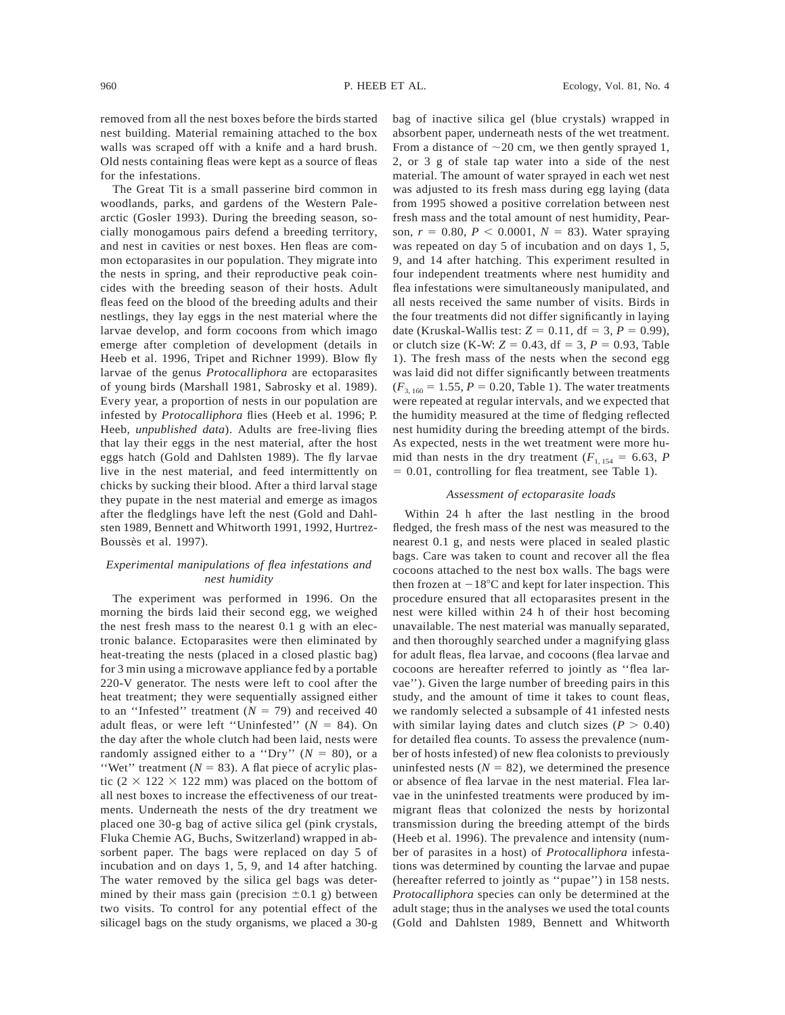removed from all the nest boxes before the birds started nest building. Material remaining attached to the box walls was scraped off with a knife and a hard brush. Old nests containing fleas were kept as a source of fleas for the infestations.

The Great Tit is a small passerine bird common in woodlands, parks, and gardens of the Western Palearctic (Gosler 1993). During the breeding season, socially monogamous pairs defend a breeding territory, and nest in cavities or nest boxes. Hen fleas are common ectoparasites in our population. They migrate into the nests in spring, and their reproductive peak coincides with the breeding season of their hosts. Adult fleas feed on the blood of the breeding adults and their nestlings, they lay eggs in the nest material where the larvae develop, and form cocoons from which imago emerge after completion of development (details in Heeb et al. 1996, Tripet and Richner 1999). Blow fly larvae of the genus *Protocalliphora* are ectoparasites of young birds (Marshall 1981, Sabrosky et al. 1989). Every year, a proportion of nests in our population are infested by *Protocalliphora* flies (Heeb et al. 1996; P. Heeb, *unpublished data*). Adults are free-living flies that lay their eggs in the nest material, after the host eggs hatch (Gold and Dahlsten 1989). The fly larvae live in the nest material, and feed intermittently on chicks by sucking their blood. After a third larval stage they pupate in the nest material and emerge as imagos after the fledglings have left the nest (Gold and Dahlsten 1989, Bennett and Whitworth 1991, 1992, Hurtrez-Boussès et al. 1997).

# *Experimental manipulations of flea infestations and nest humidity*

The experiment was performed in 1996. On the morning the birds laid their second egg, we weighed the nest fresh mass to the nearest 0.1 g with an electronic balance. Ectoparasites were then eliminated by heat-treating the nests (placed in a closed plastic bag) for 3 min using a microwave appliance fed by a portable 220-V generator. The nests were left to cool after the heat treatment; they were sequentially assigned either to an "Infested" treatment  $(N = 79)$  and received 40 adult fleas, or were left "Uninfested"  $(N = 84)$ . On the day after the whole clutch had been laid, nests were randomly assigned either to a "Dry"  $(N = 80)$ , or a "Wet" treatment  $(N = 83)$ . A flat piece of acrylic plastic ( $2 \times 122 \times 122$  mm) was placed on the bottom of all nest boxes to increase the effectiveness of our treatments. Underneath the nests of the dry treatment we placed one 30-g bag of active silica gel (pink crystals, Fluka Chemie AG, Buchs, Switzerland) wrapped in absorbent paper. The bags were replaced on day 5 of incubation and on days 1, 5, 9, and 14 after hatching. The water removed by the silica gel bags was determined by their mass gain (precision  $\pm 0.1$  g) between two visits. To control for any potential effect of the silicagel bags on the study organisms, we placed a 30-g

bag of inactive silica gel (blue crystals) wrapped in absorbent paper, underneath nests of the wet treatment. From a distance of  $\sim$ 20 cm, we then gently sprayed 1, 2, or 3 g of stale tap water into a side of the nest material. The amount of water sprayed in each wet nest was adjusted to its fresh mass during egg laying (data from 1995 showed a positive correlation between nest fresh mass and the total amount of nest humidity, Pearson,  $r = 0.80$ ,  $P < 0.0001$ ,  $N = 83$ ). Water spraying was repeated on day 5 of incubation and on days 1, 5, 9, and 14 after hatching. This experiment resulted in four independent treatments where nest humidity and flea infestations were simultaneously manipulated, and all nests received the same number of visits. Birds in the four treatments did not differ significantly in laying date (Kruskal-Wallis test:  $Z = 0.11$ , df = 3,  $P = 0.99$ ), or clutch size (K-W:  $Z = 0.43$ , df = 3,  $P = 0.93$ , Table 1). The fresh mass of the nests when the second egg was laid did not differ significantly between treatments  $(F_{3, 160} = 1.55, P = 0.20,$  Table 1). The water treatments were repeated at regular intervals, and we expected that the humidity measured at the time of fledging reflected nest humidity during the breeding attempt of the birds. As expected, nests in the wet treatment were more humid than nests in the dry treatment ( $F_{1, 154} = 6.63$ , *P*  $= 0.01$ , controlling for flea treatment, see Table 1).

### *Assessment of ectoparasite loads*

Within 24 h after the last nestling in the brood fledged, the fresh mass of the nest was measured to the nearest 0.1 g, and nests were placed in sealed plastic bags. Care was taken to count and recover all the flea cocoons attached to the nest box walls. The bags were then frozen at  $-18^{\circ}$ C and kept for later inspection. This procedure ensured that all ectoparasites present in the nest were killed within 24 h of their host becoming unavailable. The nest material was manually separated, and then thoroughly searched under a magnifying glass for adult fleas, flea larvae, and cocoons (flea larvae and cocoons are hereafter referred to jointly as ''flea larvae''). Given the large number of breeding pairs in this study, and the amount of time it takes to count fleas, we randomly selected a subsample of 41 infested nests with similar laying dates and clutch sizes  $(P > 0.40)$ for detailed flea counts. To assess the prevalence (number of hosts infested) of new flea colonists to previously uninfested nests  $(N = 82)$ , we determined the presence or absence of flea larvae in the nest material. Flea larvae in the uninfested treatments were produced by immigrant fleas that colonized the nests by horizontal transmission during the breeding attempt of the birds (Heeb et al. 1996). The prevalence and intensity (number of parasites in a host) of *Protocalliphora* infestations was determined by counting the larvae and pupae (hereafter referred to jointly as ''pupae'') in 158 nests. *Protocalliphora* species can only be determined at the adult stage; thus in the analyses we used the total counts (Gold and Dahlsten 1989, Bennett and Whitworth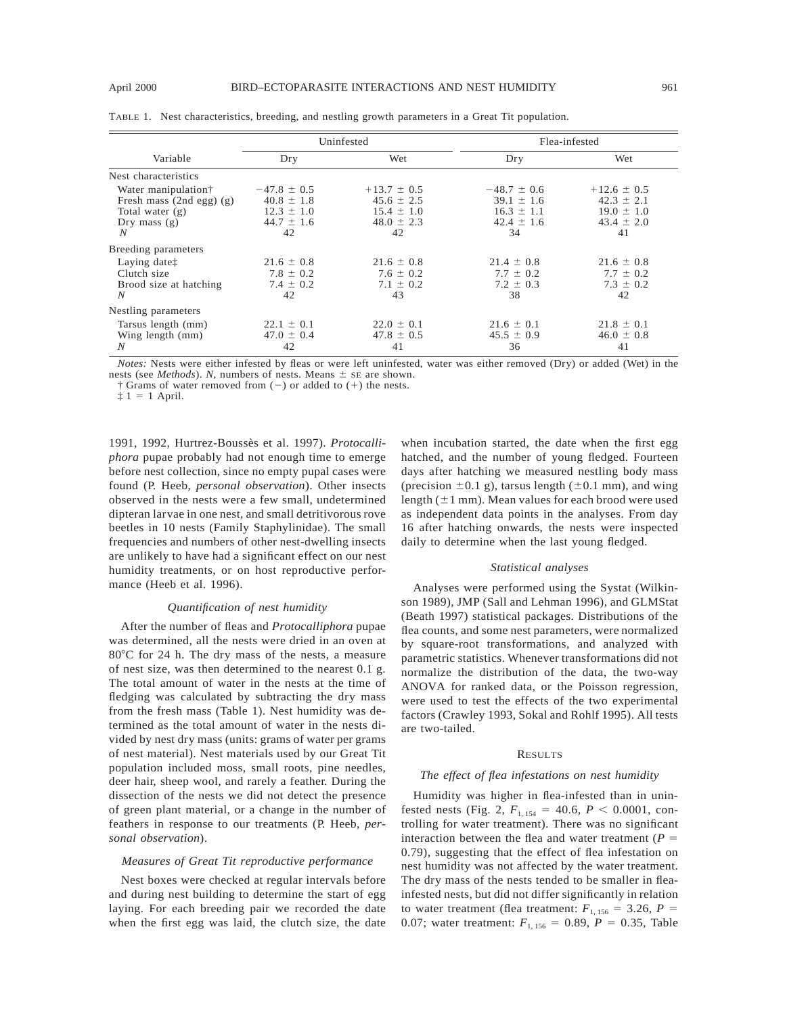|                                                                                                             |                                                                             | Uninfested                                                                  | Flea-infested                                                               |                                                                             |  |
|-------------------------------------------------------------------------------------------------------------|-----------------------------------------------------------------------------|-----------------------------------------------------------------------------|-----------------------------------------------------------------------------|-----------------------------------------------------------------------------|--|
| Variable                                                                                                    | Dry                                                                         | Wet                                                                         | Dry                                                                         | Wet                                                                         |  |
| Nest characteristics                                                                                        |                                                                             |                                                                             |                                                                             |                                                                             |  |
| Water manipulation <sup>†</sup><br>Fresh mass $(2nd egg)$ $(g)$<br>Total water $(g)$<br>Dry mass $(g)$<br>N | $-47.8 \pm 0.5$<br>$40.8 \pm 1.8$<br>$12.3 \pm 1.0$<br>$44.7 \pm 1.6$<br>42 | $+13.7 \pm 0.5$<br>$45.6 \pm 2.5$<br>$15.4 \pm 1.0$<br>$48.0 \pm 2.3$<br>42 | $-48.7 \pm 0.6$<br>$39.1 \pm 1.6$<br>$16.3 \pm 1.1$<br>$42.4 \pm 1.6$<br>34 | $+12.6 \pm 0.5$<br>$42.3 \pm 2.1$<br>$19.0 \pm 1.0$<br>$43.4 \pm 2.0$<br>41 |  |
| Breeding parameters                                                                                         |                                                                             |                                                                             |                                                                             |                                                                             |  |
| Laying date <sup>†</sup><br>Clutch size<br>Brood size at hatching<br>N                                      | $21.6 \pm 0.8$<br>$7.8 \pm 0.2$<br>$7.4 \pm 0.2$<br>42                      | $21.6 \pm 0.8$<br>$7.6 \pm 0.2$<br>$7.1 \pm 0.2$<br>43                      | $21.4 \pm 0.8$<br>$7.7 \pm 0.2$<br>$7.2 \pm 0.3$<br>38                      | $21.6 \pm 0.8$<br>$7.7 \pm 0.2$<br>$7.3 \pm 0.2$<br>42                      |  |
| Nestling parameters                                                                                         |                                                                             |                                                                             |                                                                             |                                                                             |  |
| Tarsus length (mm)<br>Wing length (mm)<br>N                                                                 | $22.1 \pm 0.1$<br>$47.0 \pm 0.4$<br>42                                      | $22.0 \pm 0.1$<br>$47.8 \pm 0.5$<br>41                                      | $21.6 \pm 0.1$<br>$45.5 \pm 0.9$<br>36                                      | $21.8 \pm 0.1$<br>$46.0 \pm 0.8$<br>41                                      |  |

TABLE 1. Nest characteristics, breeding, and nestling growth parameters in a Great Tit population.

*Notes:* Nests were either infested by fleas or were left uninfested, water was either removed (Dry) or added (Wet) in the nests (see *Methods*). *N*, numbers of nests. Means  $\pm$  se are shown.

 $\dagger$  Grams of water removed from  $(-)$  or added to  $(+)$  the nests.

 $\ddagger$  1 = 1 April.

1991, 1992, Hurtrez-Boussès et al. 1997). *Protocalliphora* pupae probably had not enough time to emerge before nest collection, since no empty pupal cases were found (P. Heeb, *personal observation*). Other insects observed in the nests were a few small, undetermined dipteran larvae in one nest, and small detritivorous rove beetles in 10 nests (Family Staphylinidae). The small frequencies and numbers of other nest-dwelling insects are unlikely to have had a significant effect on our nest humidity treatments, or on host reproductive performance (Heeb et al. 1996).

#### *Quantification of nest humidity*

After the number of fleas and *Protocalliphora* pupae was determined, all the nests were dried in an oven at 80°C for 24 h. The dry mass of the nests, a measure of nest size, was then determined to the nearest 0.1 g. The total amount of water in the nests at the time of fledging was calculated by subtracting the dry mass from the fresh mass (Table 1). Nest humidity was determined as the total amount of water in the nests divided by nest dry mass (units: grams of water per grams of nest material). Nest materials used by our Great Tit population included moss, small roots, pine needles, deer hair, sheep wool, and rarely a feather. During the dissection of the nests we did not detect the presence of green plant material, or a change in the number of feathers in response to our treatments (P. Heeb, *personal observation*).

#### *Measures of Great Tit reproductive performance*

Nest boxes were checked at regular intervals before and during nest building to determine the start of egg laying. For each breeding pair we recorded the date when the first egg was laid, the clutch size, the date

when incubation started, the date when the first egg hatched, and the number of young fledged. Fourteen days after hatching we measured nestling body mass (precision  $\pm 0.1$  g), tarsus length ( $\pm 0.1$  mm), and wing length  $(\pm 1$  mm). Mean values for each brood were used as independent data points in the analyses. From day 16 after hatching onwards, the nests were inspected daily to determine when the last young fledged.

#### *Statistical analyses*

Analyses were performed using the Systat (Wilkinson 1989), JMP (Sall and Lehman 1996), and GLMStat (Beath 1997) statistical packages. Distributions of the flea counts, and some nest parameters, were normalized by square-root transformations, and analyzed with parametric statistics. Whenever transformations did not normalize the distribution of the data, the two-way ANOVA for ranked data, or the Poisson regression, were used to test the effects of the two experimental factors (Crawley 1993, Sokal and Rohlf 1995). All tests are two-tailed.

### **RESULTS**

### *The effect of flea infestations on nest humidity*

Humidity was higher in flea-infested than in uninfested nests (Fig. 2,  $F_{1, 154} = 40.6, P < 0.0001$ , controlling for water treatment). There was no significant interaction between the flea and water treatment  $(P =$ 0.79), suggesting that the effect of flea infestation on nest humidity was not affected by the water treatment. The dry mass of the nests tended to be smaller in fleainfested nests, but did not differ significantly in relation to water treatment (flea treatment:  $F_{1, 156} = 3.26$ ,  $P =$ 0.07; water treatment:  $F_{1, 156} = 0.89$ ,  $P = 0.35$ , Table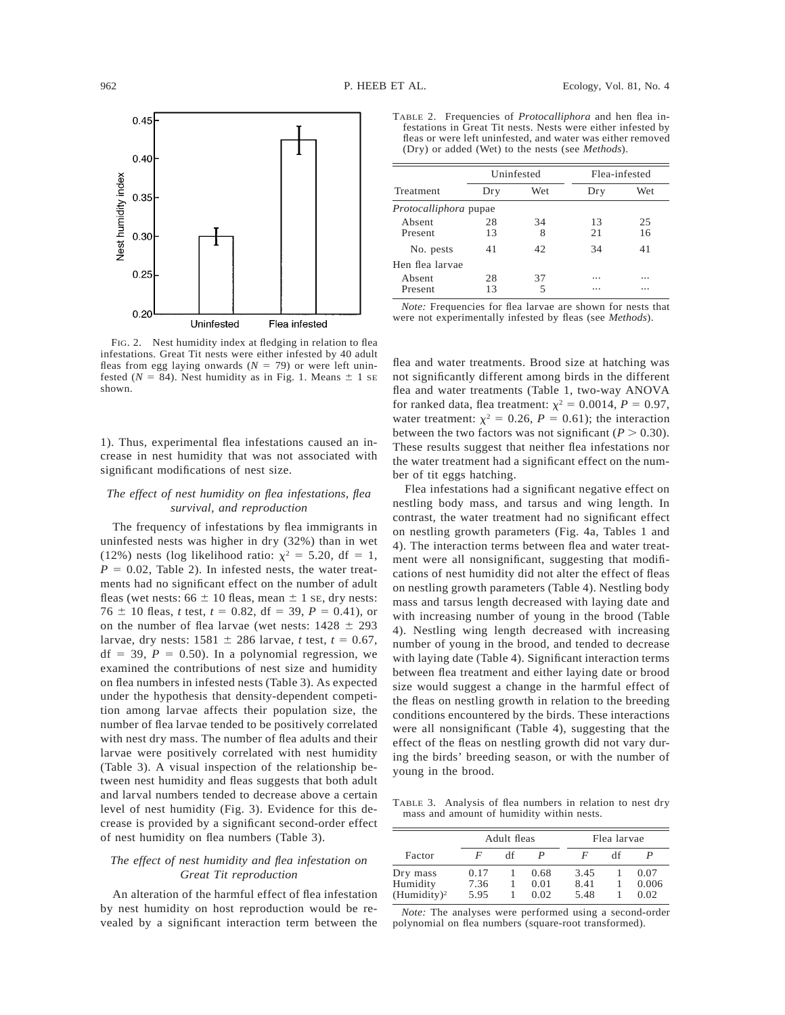

FIG. 2. Nest humidity index at fledging in relation to flea infestations. Great Tit nests were either infested by 40 adult fleas from egg laying onwards  $(N = 79)$  or were left uninfested ( $N = 84$ ). Nest humidity as in Fig. 1. Means  $\pm$  1 se shown.

1). Thus, experimental flea infestations caused an increase in nest humidity that was not associated with significant modifications of nest size.

### *The effect of nest humidity on flea infestations, flea survival, and reproduction*

The frequency of infestations by flea immigrants in uninfested nests was higher in dry (32%) than in wet (12%) nests (log likelihood ratio:  $\chi^2 = 5.20$ , df = 1,  $P = 0.02$ , Table 2). In infested nests, the water treatments had no significant effect on the number of adult fleas (wet nests:  $66 \pm 10$  fleas, mean  $\pm 1$  SE, dry nests: 76  $\pm$  10 fleas, *t* test, *t* = 0.82, df = 39, *P* = 0.41), or on the number of flea larvae (wet nests:  $1428 \pm 293$ larvae, dry nests:  $1581 \pm 286$  larvae, *t* test,  $t = 0.67$ ,  $df = 39$ ,  $P = 0.50$ ). In a polynomial regression, we examined the contributions of nest size and humidity on flea numbers in infested nests (Table 3). As expected under the hypothesis that density-dependent competition among larvae affects their population size, the number of flea larvae tended to be positively correlated with nest dry mass. The number of flea adults and their larvae were positively correlated with nest humidity (Table 3). A visual inspection of the relationship between nest humidity and fleas suggests that both adult and larval numbers tended to decrease above a certain level of nest humidity (Fig. 3). Evidence for this decrease is provided by a significant second-order effect of nest humidity on flea numbers (Table 3).

### *The effect of nest humidity and flea infestation on Great Tit reproduction*

An alteration of the harmful effect of flea infestation by nest humidity on host reproduction would be revealed by a significant interaction term between the

TABLE 2. Frequencies of *Protocalliphora* and hen flea infestations in Great Tit nests. Nests were either infested by fleas or were left uninfested, and water was either removed (Dry) or added (Wet) to the nests (see *Methods*).

|                       |          | Uninfested | Flea-infested |          |  |
|-----------------------|----------|------------|---------------|----------|--|
| Treatment             | Dry      | Wet        | Dry           | Wet      |  |
| Protocalliphora pupae |          |            |               |          |  |
| Absent<br>Present     | 28<br>13 | 34<br>8    | 13<br>21      | 25<br>16 |  |
| No. pests             | 41       | 42         | 34            | 41       |  |
| Hen flea larvae       |          |            |               |          |  |
| Absent<br>Present     | 28<br>13 | 37<br>5    | <br>          | <br>     |  |

*Note:* Frequencies for flea larvae are shown for nests that were not experimentally infested by fleas (see *Methods*).

flea and water treatments. Brood size at hatching was not significantly different among birds in the different flea and water treatments (Table 1, two-way ANOVA for ranked data, flea treatment:  $\chi^2 = 0.0014$ ,  $P = 0.97$ , water treatment:  $\chi^2 = 0.26$ ,  $P = 0.61$ ); the interaction between the two factors was not significant  $(P > 0.30)$ . These results suggest that neither flea infestations nor the water treatment had a significant effect on the number of tit eggs hatching.

Flea infestations had a significant negative effect on nestling body mass, and tarsus and wing length. In contrast, the water treatment had no significant effect on nestling growth parameters (Fig. 4a, Tables 1 and 4). The interaction terms between flea and water treatment were all nonsignificant, suggesting that modifications of nest humidity did not alter the effect of fleas on nestling growth parameters (Table 4). Nestling body mass and tarsus length decreased with laying date and with increasing number of young in the brood (Table 4). Nestling wing length decreased with increasing number of young in the brood, and tended to decrease with laying date (Table 4). Significant interaction terms between flea treatment and either laying date or brood size would suggest a change in the harmful effect of the fleas on nestling growth in relation to the breeding conditions encountered by the birds. These interactions were all nonsignificant (Table 4), suggesting that the effect of the fleas on nestling growth did not vary during the birds' breeding season, or with the number of young in the brood.

TABLE 3. Analysis of flea numbers in relation to nest dry mass and amount of humidity within nests.

|                                                 |                      | Adult fleas |                      |                      | Flea larvae |                       |  |
|-------------------------------------------------|----------------------|-------------|----------------------|----------------------|-------------|-----------------------|--|
| Factor                                          | F                    | df          |                      | F                    | df          |                       |  |
| Dry mass<br>Humidity<br>(Humidity) <sup>2</sup> | 0.17<br>7.36<br>5.95 |             | 0.68<br>0.01<br>0.02 | 3.45<br>8.41<br>5.48 |             | 0.07<br>0.006<br>0.02 |  |

*Note:* The analyses were performed using a second-order polynomial on flea numbers (square-root transformed).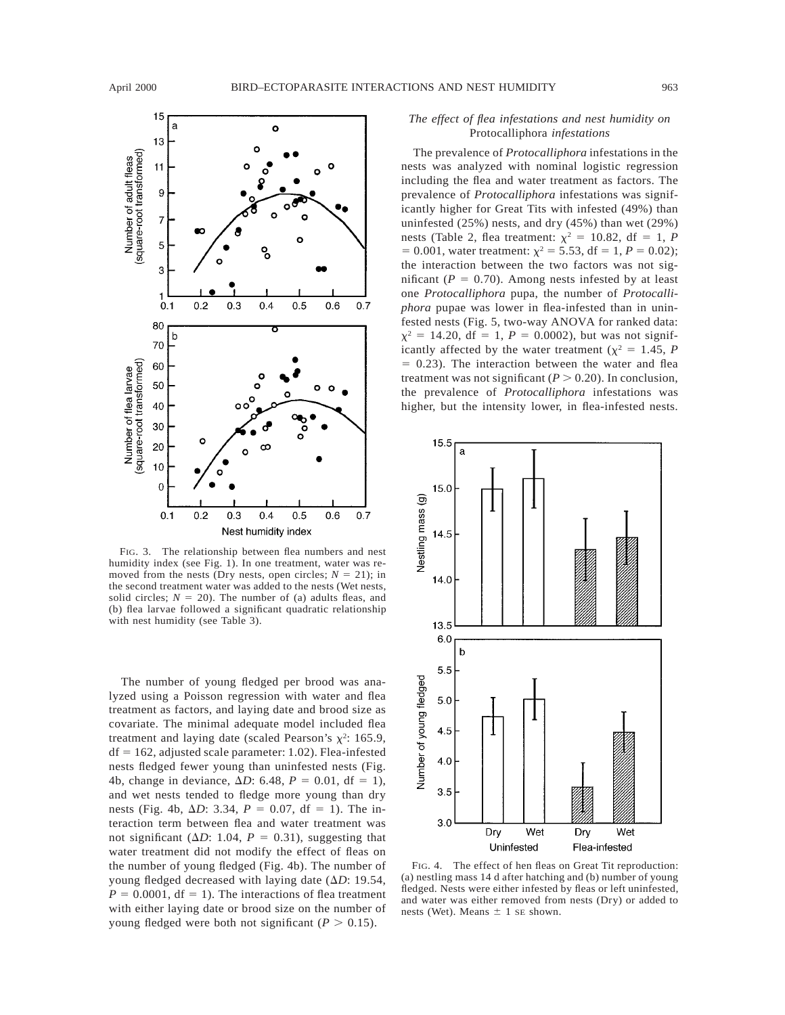Number of adult fleas<br>(square-root transformed)

Number of flea larvae<br>(square-root transformed)

15 a

 $13$ 

11 9

7

5

3

 $0.1$ 

80  $\mathsf{h}$ 70

60 50

40 30

20

 $10$  $\mathsf{C}$ 

 $0.1$ 

 $0.2$ 

 $0.2$ 

 $0.3$ 

o

o

್ಧ

 $0.4$ 

o

o

 $0.5$ 

 $0.7$ 

 $0.6$ 

O  $\circ$ 







FIG. 3. The relationship between flea numbers and nest humidity index (see Fig. 1). In one treatment, water was removed from the nests (Dry nests, open circles;  $N = 21$ ); in the second treatment water was added to the nests (Wet nests, solid circles;  $N = 20$ ). The number of (a) adults fleas, and (b) flea larvae followed a significant quadratic relationship with nest humidity (see Table 3).

 $0.3$ 

 $0.4$ 

Nest humidity index

0.5

 $0.6$ 

 $0.7$ 

The number of young fledged per brood was analyzed using a Poisson regression with water and flea treatment as factors, and laying date and brood size as covariate. The minimal adequate model included flea treatment and laying date (scaled Pearson's  $\chi^2$ : 165.9,  $df = 162$ , adjusted scale parameter: 1.02). Flea-infested nests fledged fewer young than uninfested nests (Fig. 4b, change in deviance,  $\Delta D$ : 6.48,  $P = 0.01$ , df = 1), and wet nests tended to fledge more young than dry nests (Fig. 4b,  $\Delta D$ : 3.34,  $P = 0.07$ , df = 1). The interaction term between flea and water treatment was not significant ( $\Delta D$ : 1.04,  $P = 0.31$ ), suggesting that water treatment did not modify the effect of fleas on the number of young fledged (Fig. 4b). The number of young fledged decreased with laying date  $(\Delta D: 19.54,$  $P = 0.0001$ , df = 1). The interactions of flea treatment with either laying date or brood size on the number of young fledged were both not significant ( $P > 0.15$ ).

FIG. 4. The effect of hen fleas on Great Tit reproduction: (a) nestling mass 14 d after hatching and (b) number of young fledged. Nests were either infested by fleas or left uninfested, and water was either removed from nests (Dry) or added to nests (Wet). Means  $\pm$  1 se shown.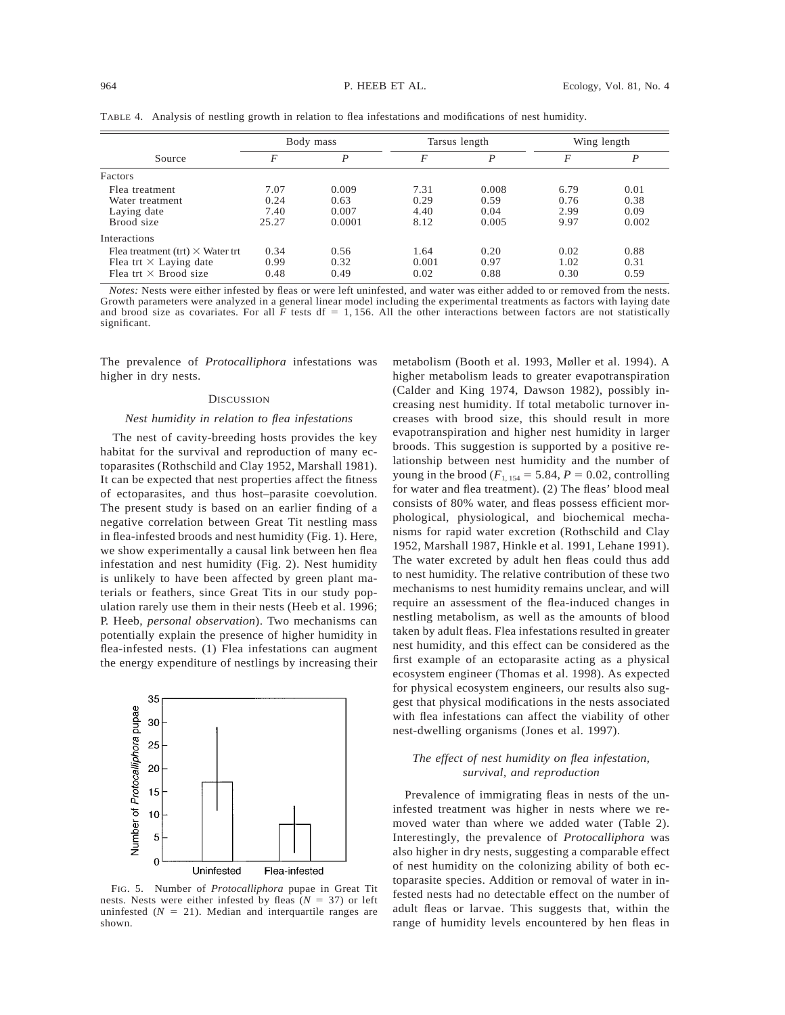|                                         | Body mass |        | Tarsus length |       | Wing length |       |
|-----------------------------------------|-----------|--------|---------------|-------|-------------|-------|
| Source                                  | F         | P      | F             | P     | F           | P     |
| Factors                                 |           |        |               |       |             |       |
| Flea treatment                          | 7.07      | 0.009  | 7.31          | 0.008 | 6.79        | 0.01  |
| Water treatment                         | 0.24      | 0.63   | 0.29          | 0.59  | 0.76        | 0.38  |
| Laying date                             | 7.40      | 0.007  | 4.40          | 0.04  | 2.99        | 0.09  |
| Brood size                              | 25.27     | 0.0001 | 8.12          | 0.005 | 9.97        | 0.002 |
| Interactions                            |           |        |               |       |             |       |
| Flea treatment (trt) $\times$ Water trt | 0.34      | 0.56   | 1.64          | 0.20  | 0.02        | 0.88  |
| Flea trt $\times$ Laying date           | 0.99      | 0.32   | 0.001         | 0.97  | 1.02        | 0.31  |
| Flea trt $\times$ Brood size            | 0.48      | 0.49   | 0.02          | 0.88  | 0.30        | 0.59  |

TABLE 4. Analysis of nestling growth in relation to flea infestations and modifications of nest humidity.

*Notes:* Nests were either infested by fleas or were left uninfested, and water was either added to or removed from the nests. Growth parameters were analyzed in a general linear model including the experimental treatments as factors with laying date and brood size as covariates. For all  $F$  tests df = 1, 156. All the other interactions between factors are not statistically significant.

The prevalence of *Protocalliphora* infestations was higher in dry nests.

#### **DISCUSSION**

#### *Nest humidity in relation to flea infestations*

The nest of cavity-breeding hosts provides the key habitat for the survival and reproduction of many ectoparasites (Rothschild and Clay 1952, Marshall 1981). It can be expected that nest properties affect the fitness of ectoparasites, and thus host–parasite coevolution. The present study is based on an earlier finding of a negative correlation between Great Tit nestling mass in flea-infested broods and nest humidity (Fig. 1). Here, we show experimentally a causal link between hen flea infestation and nest humidity (Fig. 2). Nest humidity is unlikely to have been affected by green plant materials or feathers, since Great Tits in our study population rarely use them in their nests (Heeb et al. 1996; P. Heeb, *personal observation*). Two mechanisms can potentially explain the presence of higher humidity in flea-infested nests. (1) Flea infestations can augment the energy expenditure of nestlings by increasing their



FIG. 5. Number of *Protocalliphora* pupae in Great Tit nests. Nests were either infested by fleas  $(N = 37)$  or left uninfested  $(N = 21)$ . Median and interquartile ranges are shown.

metabolism (Booth et al. 1993, Møller et al. 1994). A higher metabolism leads to greater evapotranspiration (Calder and King 1974, Dawson 1982), possibly increasing nest humidity. If total metabolic turnover increases with brood size, this should result in more evapotranspiration and higher nest humidity in larger broods. This suggestion is supported by a positive relationship between nest humidity and the number of young in the brood ( $F_{1, 154} = 5.84, P = 0.02$ , controlling for water and flea treatment). (2) The fleas' blood meal consists of 80% water, and fleas possess efficient morphological, physiological, and biochemical mechanisms for rapid water excretion (Rothschild and Clay 1952, Marshall 1987, Hinkle et al. 1991, Lehane 1991). The water excreted by adult hen fleas could thus add to nest humidity. The relative contribution of these two mechanisms to nest humidity remains unclear, and will require an assessment of the flea-induced changes in nestling metabolism, as well as the amounts of blood taken by adult fleas. Flea infestations resulted in greater nest humidity, and this effect can be considered as the first example of an ectoparasite acting as a physical ecosystem engineer (Thomas et al. 1998). As expected for physical ecosystem engineers, our results also suggest that physical modifications in the nests associated with flea infestations can affect the viability of other nest-dwelling organisms (Jones et al. 1997).

## *The effect of nest humidity on flea infestation, survival, and reproduction*

Prevalence of immigrating fleas in nests of the uninfested treatment was higher in nests where we removed water than where we added water (Table 2). Interestingly, the prevalence of *Protocalliphora* was also higher in dry nests, suggesting a comparable effect of nest humidity on the colonizing ability of both ectoparasite species. Addition or removal of water in infested nests had no detectable effect on the number of adult fleas or larvae. This suggests that, within the range of humidity levels encountered by hen fleas in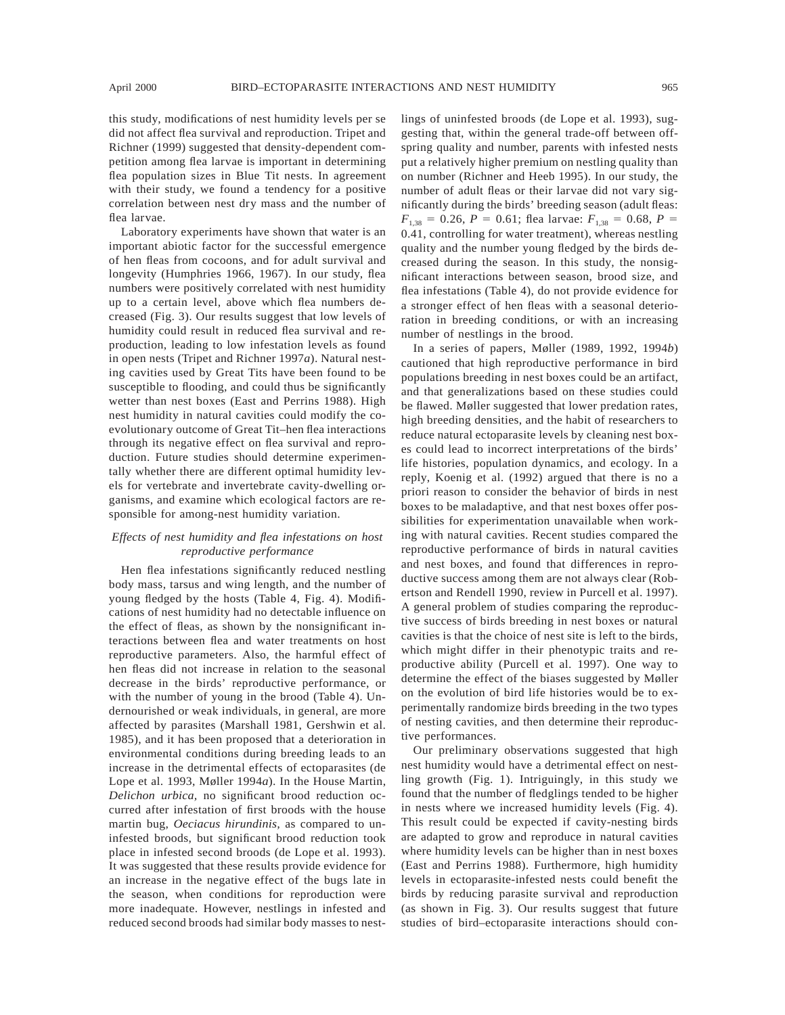this study, modifications of nest humidity levels per se did not affect flea survival and reproduction. Tripet and Richner (1999) suggested that density-dependent competition among flea larvae is important in determining flea population sizes in Blue Tit nests. In agreement with their study, we found a tendency for a positive correlation between nest dry mass and the number of flea larvae.

Laboratory experiments have shown that water is an important abiotic factor for the successful emergence of hen fleas from cocoons, and for adult survival and longevity (Humphries 1966, 1967). In our study, flea numbers were positively correlated with nest humidity up to a certain level, above which flea numbers decreased (Fig. 3). Our results suggest that low levels of humidity could result in reduced flea survival and reproduction, leading to low infestation levels as found in open nests (Tripet and Richner 1997*a*). Natural nesting cavities used by Great Tits have been found to be susceptible to flooding, and could thus be significantly wetter than nest boxes (East and Perrins 1988). High nest humidity in natural cavities could modify the coevolutionary outcome of Great Tit–hen flea interactions through its negative effect on flea survival and reproduction. Future studies should determine experimentally whether there are different optimal humidity levels for vertebrate and invertebrate cavity-dwelling organisms, and examine which ecological factors are responsible for among-nest humidity variation.

### *Effects of nest humidity and flea infestations on host reproductive performance*

Hen flea infestations significantly reduced nestling body mass, tarsus and wing length, and the number of young fledged by the hosts (Table 4, Fig. 4). Modifications of nest humidity had no detectable influence on the effect of fleas, as shown by the nonsignificant interactions between flea and water treatments on host reproductive parameters. Also, the harmful effect of hen fleas did not increase in relation to the seasonal decrease in the birds' reproductive performance, or with the number of young in the brood (Table 4). Undernourished or weak individuals, in general, are more affected by parasites (Marshall 1981, Gershwin et al. 1985), and it has been proposed that a deterioration in environmental conditions during breeding leads to an increase in the detrimental effects of ectoparasites (de Lope et al. 1993, Møller 1994*a*). In the House Martin, *Delichon urbica,* no significant brood reduction occurred after infestation of first broods with the house martin bug, *Oeciacus hirundinis,* as compared to uninfested broods, but significant brood reduction took place in infested second broods (de Lope et al. 1993). It was suggested that these results provide evidence for an increase in the negative effect of the bugs late in the season, when conditions for reproduction were more inadequate. However, nestlings in infested and reduced second broods had similar body masses to nestlings of uninfested broods (de Lope et al. 1993), suggesting that, within the general trade-off between offspring quality and number, parents with infested nests put a relatively higher premium on nestling quality than on number (Richner and Heeb 1995). In our study, the number of adult fleas or their larvae did not vary significantly during the birds' breeding season (adult fleas:  $F_{1,38} = 0.26$ ,  $P = 0.61$ ; flea larvae:  $F_{1,38} = 0.68$ ,  $P =$ 0.41, controlling for water treatment), whereas nestling quality and the number young fledged by the birds decreased during the season. In this study, the nonsignificant interactions between season, brood size, and flea infestations (Table 4), do not provide evidence for a stronger effect of hen fleas with a seasonal deterioration in breeding conditions, or with an increasing number of nestlings in the brood.

In a series of papers, Møller (1989, 1992, 1994*b*) cautioned that high reproductive performance in bird populations breeding in nest boxes could be an artifact, and that generalizations based on these studies could be flawed. Møller suggested that lower predation rates, high breeding densities, and the habit of researchers to reduce natural ectoparasite levels by cleaning nest boxes could lead to incorrect interpretations of the birds' life histories, population dynamics, and ecology. In a reply, Koenig et al. (1992) argued that there is no a priori reason to consider the behavior of birds in nest boxes to be maladaptive, and that nest boxes offer possibilities for experimentation unavailable when working with natural cavities. Recent studies compared the reproductive performance of birds in natural cavities and nest boxes, and found that differences in reproductive success among them are not always clear (Robertson and Rendell 1990, review in Purcell et al. 1997). A general problem of studies comparing the reproductive success of birds breeding in nest boxes or natural cavities is that the choice of nest site is left to the birds, which might differ in their phenotypic traits and reproductive ability (Purcell et al. 1997). One way to determine the effect of the biases suggested by Møller on the evolution of bird life histories would be to experimentally randomize birds breeding in the two types of nesting cavities, and then determine their reproductive performances.

Our preliminary observations suggested that high nest humidity would have a detrimental effect on nestling growth (Fig. 1). Intriguingly, in this study we found that the number of fledglings tended to be higher in nests where we increased humidity levels (Fig. 4). This result could be expected if cavity-nesting birds are adapted to grow and reproduce in natural cavities where humidity levels can be higher than in nest boxes (East and Perrins 1988). Furthermore, high humidity levels in ectoparasite-infested nests could benefit the birds by reducing parasite survival and reproduction (as shown in Fig. 3). Our results suggest that future studies of bird–ectoparasite interactions should con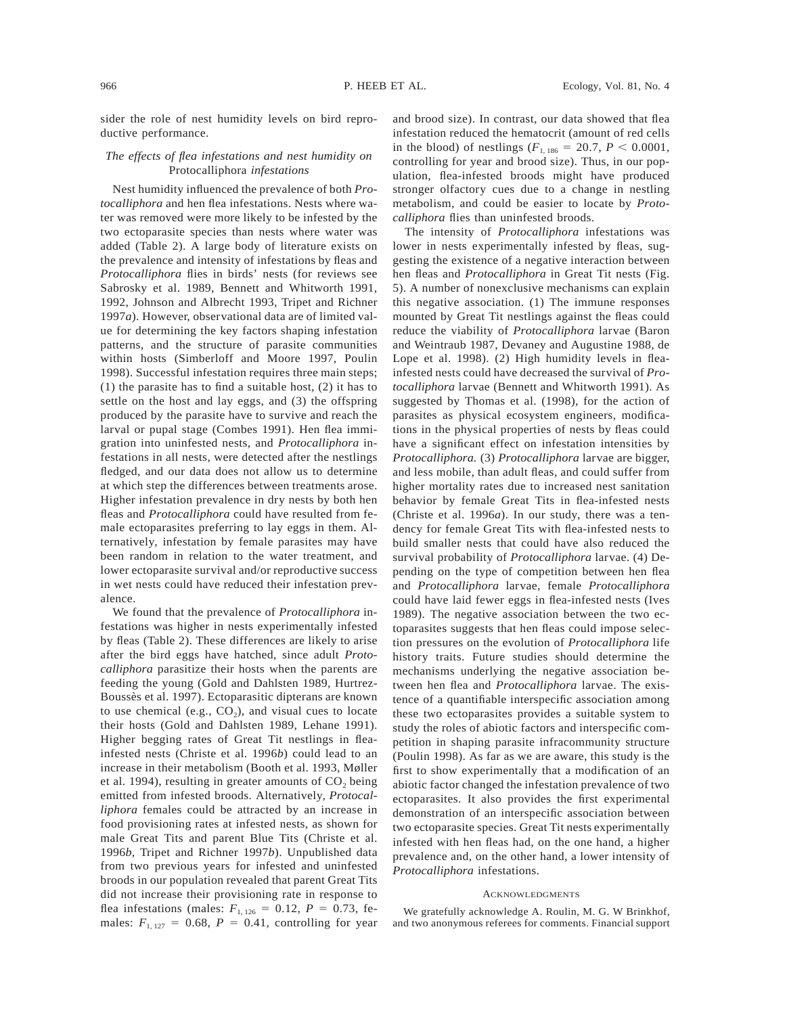sider the role of nest humidity levels on bird reproductive performance.

### *The effects of flea infestations and nest humidity on* Protocalliphora *infestations*

Nest humidity influenced the prevalence of both *Protocalliphora* and hen flea infestations. Nests where water was removed were more likely to be infested by the two ectoparasite species than nests where water was added (Table 2). A large body of literature exists on the prevalence and intensity of infestations by fleas and *Protocalliphora* flies in birds' nests (for reviews see Sabrosky et al. 1989, Bennett and Whitworth 1991, 1992, Johnson and Albrecht 1993, Tripet and Richner 1997*a*). However, observational data are of limited value for determining the key factors shaping infestation patterns, and the structure of parasite communities within hosts (Simberloff and Moore 1997, Poulin 1998). Successful infestation requires three main steps; (1) the parasite has to find a suitable host, (2) it has to settle on the host and lay eggs, and (3) the offspring produced by the parasite have to survive and reach the larval or pupal stage (Combes 1991). Hen flea immigration into uninfested nests, and *Protocalliphora* infestations in all nests, were detected after the nestlings fledged, and our data does not allow us to determine at which step the differences between treatments arose. Higher infestation prevalence in dry nests by both hen fleas and *Protocalliphora* could have resulted from female ectoparasites preferring to lay eggs in them. Alternatively, infestation by female parasites may have been random in relation to the water treatment, and lower ectoparasite survival and/or reproductive success in wet nests could have reduced their infestation prevalence.

We found that the prevalence of *Protocalliphora* infestations was higher in nests experimentally infested by fleas (Table 2). These differences are likely to arise after the bird eggs have hatched, since adult *Protocalliphora* parasitize their hosts when the parents are feeding the young (Gold and Dahlsten 1989, Hurtrez-Boussès et al. 1997). Ectoparasitic dipterans are known to use chemical (e.g.,  $CO<sub>2</sub>$ ), and visual cues to locate their hosts (Gold and Dahlsten 1989, Lehane 1991). Higher begging rates of Great Tit nestlings in fleainfested nests (Christe et al. 1996*b*) could lead to an increase in their metabolism (Booth et al. 1993, Møller et al. 1994), resulting in greater amounts of  $CO<sub>2</sub>$  being emitted from infested broods. Alternatively, *Protocalliphora* females could be attracted by an increase in food provisioning rates at infested nests, as shown for male Great Tits and parent Blue Tits (Christe et al. 1996*b*, Tripet and Richner 1997*b*). Unpublished data from two previous years for infested and uninfested broods in our population revealed that parent Great Tits did not increase their provisioning rate in response to flea infestations (males:  $F_{1, 126} = 0.12$ ,  $P = 0.73$ , females:  $F_{1, 127} = 0.68$ ,  $P = 0.41$ , controlling for year and brood size). In contrast, our data showed that flea infestation reduced the hematocrit (amount of red cells in the blood) of nestlings ( $F_{1, 186} = 20.7$ ,  $P < 0.0001$ , controlling for year and brood size). Thus, in our population, flea-infested broods might have produced stronger olfactory cues due to a change in nestling metabolism, and could be easier to locate by *Protocalliphora* flies than uninfested broods.

The intensity of *Protocalliphora* infestations was lower in nests experimentally infested by fleas, suggesting the existence of a negative interaction between hen fleas and *Protocalliphora* in Great Tit nests (Fig. 5). A number of nonexclusive mechanisms can explain this negative association. (1) The immune responses mounted by Great Tit nestlings against the fleas could reduce the viability of *Protocalliphora* larvae (Baron and Weintraub 1987, Devaney and Augustine 1988, de Lope et al. 1998). (2) High humidity levels in fleainfested nests could have decreased the survival of *Protocalliphora* larvae (Bennett and Whitworth 1991). As suggested by Thomas et al. (1998), for the action of parasites as physical ecosystem engineers, modifications in the physical properties of nests by fleas could have a significant effect on infestation intensities by *Protocalliphora.* (3) *Protocalliphora* larvae are bigger, and less mobile, than adult fleas, and could suffer from higher mortality rates due to increased nest sanitation behavior by female Great Tits in flea-infested nests (Christe et al. 1996*a*). In our study, there was a tendency for female Great Tits with flea-infested nests to build smaller nests that could have also reduced the survival probability of *Protocalliphora* larvae. (4) Depending on the type of competition between hen flea and *Protocalliphora* larvae, female *Protocalliphora* could have laid fewer eggs in flea-infested nests (Ives 1989). The negative association between the two ectoparasites suggests that hen fleas could impose selection pressures on the evolution of *Protocalliphora* life history traits. Future studies should determine the mechanisms underlying the negative association between hen flea and *Protocalliphora* larvae. The existence of a quantifiable interspecific association among these two ectoparasites provides a suitable system to study the roles of abiotic factors and interspecific competition in shaping parasite infracommunity structure (Poulin 1998). As far as we are aware, this study is the first to show experimentally that a modification of an abiotic factor changed the infestation prevalence of two ectoparasites. It also provides the first experimental demonstration of an interspecific association between two ectoparasite species. Great Tit nests experimentally infested with hen fleas had, on the one hand, a higher prevalence and, on the other hand, a lower intensity of *Protocalliphora* infestations.

#### ACKNOWLEDGMENTS

We gratefully acknowledge A. Roulin, M. G. W Brinkhof, and two anonymous referees for comments. Financial support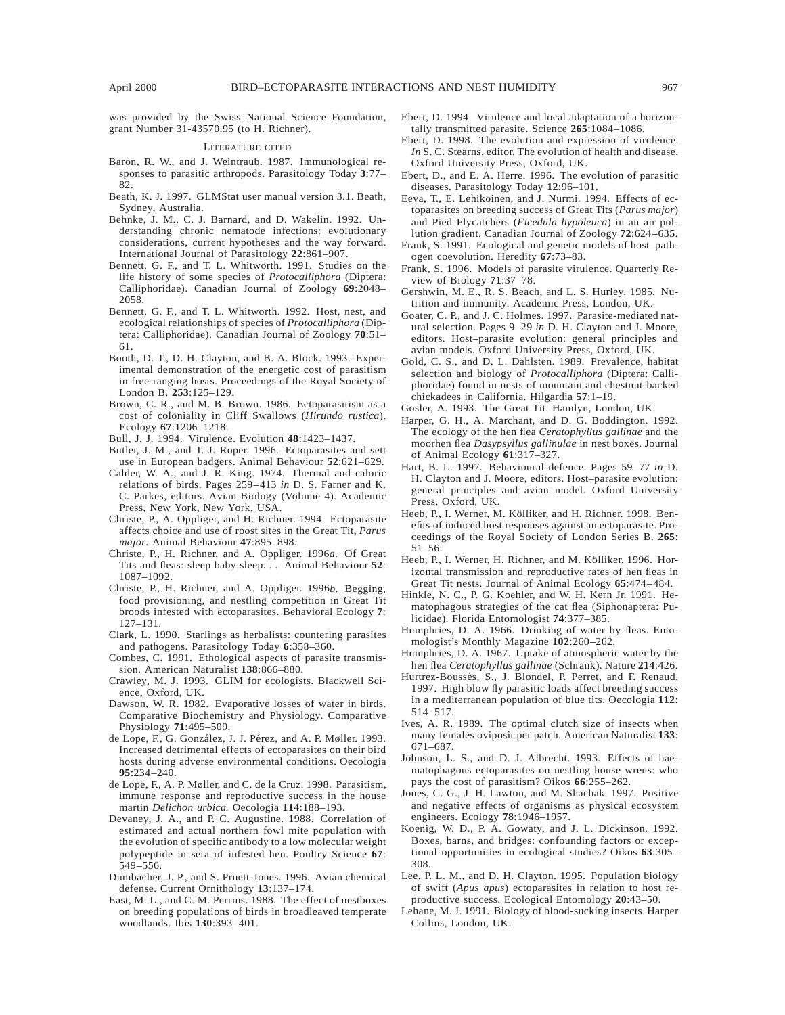was provided by the Swiss National Science Foundation, grant Number 31-43570.95 (to H. Richner).

#### LITERATURE CITED

- Baron, R. W., and J. Weintraub. 1987. Immunological responses to parasitic arthropods. Parasitology Today **3**:77– 82.
- Beath, K. J. 1997. GLMStat user manual version 3.1. Beath, Sydney, Australia.
- Behnke, J. M., C. J. Barnard, and D. Wakelin. 1992. Understanding chronic nematode infections: evolutionary considerations, current hypotheses and the way forward. International Journal of Parasitology **22**:861–907.
- Bennett, G. F., and T. L. Whitworth. 1991. Studies on the life history of some species of *Protocalliphora* (Diptera: Calliphoridae). Canadian Journal of Zoology **69**:2048– 2058.
- Bennett, G. F., and T. L. Whitworth. 1992. Host, nest, and ecological relationships of species of *Protocalliphora* (Diptera: Calliphoridae). Canadian Journal of Zoology **70**:51– 61.
- Booth, D. T., D. H. Clayton, and B. A. Block. 1993. Experimental demonstration of the energetic cost of parasitism in free-ranging hosts. Proceedings of the Royal Society of London B. **253**:125–129.
- Brown, C. R., and M. B. Brown. 1986. Ectoparasitism as a cost of coloniality in Cliff Swallows (*Hirundo rustica*). Ecology **67**:1206–1218.
- Bull, J. J. 1994. Virulence. Evolution **48**:1423–1437.
- Butler, J. M., and T. J. Roper. 1996. Ectoparasites and sett use in European badgers. Animal Behaviour **52**:621–629.
- Calder, W. A., and J. R. King. 1974. Thermal and caloric relations of birds. Pages 259–413 *in* D. S. Farner and K. C. Parkes, editors. Avian Biology (Volume 4). Academic Press, New York, New York, USA.
- Christe, P., A. Oppliger, and H. Richner. 1994. Ectoparasite affects choice and use of roost sites in the Great Tit, *Parus major.* Animal Behaviour **47**:895–898.
- Christe, P., H. Richner, and A. Oppliger. 1996*a*. Of Great Tits and fleas: sleep baby sleep. . . Animal Behaviour **52**: 1087–1092.
- Christe, P., H. Richner, and A. Oppliger. 1996*b*. Begging, food provisioning, and nestling competition in Great Tit broods infested with ectoparasites. Behavioral Ecology **7**: 127–131.
- Clark, L. 1990. Starlings as herbalists: countering parasites and pathogens. Parasitology Today **6**:358–360.
- Combes, C. 1991. Ethological aspects of parasite transmission. American Naturalist **138**:866–880.
- Crawley, M. J. 1993. GLIM for ecologists. Blackwell Science, Oxford, UK.
- Dawson, W. R. 1982. Evaporative losses of water in birds. Comparative Biochemistry and Physiology. Comparative Physiology **71**:495–509.
- de Lope, F., G. González, J. J. Pérez, and A. P. Møller. 1993. Increased detrimental effects of ectoparasites on their bird hosts during adverse environmental conditions. Oecologia **95**:234–240.
- de Lope, F., A. P. Møller, and C. de la Cruz. 1998. Parasitism, immune response and reproductive success in the house martin *Delichon urbica.* Oecologia **114**:188–193.
- Devaney, J. A., and P. C. Augustine. 1988. Correlation of estimated and actual northern fowl mite population with the evolution of specific antibody to a low molecular weight polypeptide in sera of infested hen. Poultry Science **67**: 549–556.
- Dumbacher, J. P., and S. Pruett-Jones. 1996. Avian chemical defense. Current Ornithology **13**:137–174.
- East, M. L., and C. M. Perrins. 1988. The effect of nestboxes on breeding populations of birds in broadleaved temperate woodlands. Ibis **130**:393–401.
- Ebert, D. 1994. Virulence and local adaptation of a horizontally transmitted parasite. Science **265**:1084–1086.
- Ebert, D. 1998. The evolution and expression of virulence. *In* S. C. Stearns, editor. The evolution of health and disease. Oxford University Press, Oxford, UK.
- Ebert, D., and E. A. Herre. 1996. The evolution of parasitic diseases. Parasitology Today **12**:96–101.
- Eeva, T., E. Lehikoinen, and J. Nurmi. 1994. Effects of ectoparasites on breeding success of Great Tits (*Parus major*) and Pied Flycatchers (*Ficedula hypoleuca*) in an air pollution gradient. Canadian Journal of Zoology **72**:624–635.
- Frank, S. 1991. Ecological and genetic models of host–pathogen coevolution. Heredity **67**:73–83.
- Frank, S. 1996. Models of parasite virulence. Quarterly Review of Biology **71**:37–78.
- Gershwin, M. E., R. S. Beach, and L. S. Hurley. 1985. Nutrition and immunity. Academic Press, London, UK.
- Goater, C. P., and J. C. Holmes. 1997. Parasite-mediated natural selection. Pages 9–29 *in* D. H. Clayton and J. Moore, editors. Host–parasite evolution: general principles and avian models. Oxford University Press, Oxford, UK.
- Gold, C. S., and D. L. Dahlsten. 1989. Prevalence, habitat selection and biology of *Protocalliphora* (Diptera: Calliphoridae) found in nests of mountain and chestnut-backed chickadees in California. Hilgardia **57**:1–19.
- Gosler, A. 1993. The Great Tit. Hamlyn, London, UK.
- Harper, G. H., A. Marchant, and D. G. Boddington. 1992. The ecology of the hen flea *Ceratophyllus gallinae* and the moorhen flea *Dasypsyllus gallinulae* in nest boxes. Journal of Animal Ecology **61**:317–327.
- Hart, B. L. 1997. Behavioural defence. Pages 59–77 *in* D. H. Clayton and J. Moore, editors. Host–parasite evolution: general principles and avian model. Oxford University Press, Oxford, UK.
- Heeb, P., I. Werner, M. Kölliker, and H. Richner. 1998. Benefits of induced host responses against an ectoparasite. Proceedings of the Royal Society of London Series B. **265**: 51–56.
- Heeb, P., I. Werner, H. Richner, and M. Kölliker. 1996. Horizontal transmission and reproductive rates of hen fleas in Great Tit nests. Journal of Animal Ecology **65**:474–484.
- Hinkle, N. C., P. G. Koehler, and W. H. Kern Jr. 1991. Hematophagous strategies of the cat flea (Siphonaptera: Pulicidae). Florida Entomologist **74**:377–385.
- Humphries, D. A. 1966. Drinking of water by fleas. Entomologist's Monthly Magazine **102**:260–262.
- Humphries, D. A. 1967. Uptake of atmospheric water by the hen flea *Ceratophyllus gallinae* (Schrank). Nature **214**:426.
- Hurtrez-Boussès, S., J. Blondel, P. Perret, and F. Renaud. 1997. High blow fly parasitic loads affect breeding success in a mediterranean population of blue tits. Oecologia **112**: 514–517.
- Ives, A. R. 1989. The optimal clutch size of insects when many females oviposit per patch. American Naturalist **133**: 671–687.
- Johnson, L. S., and D. J. Albrecht. 1993. Effects of haematophagous ectoparasites on nestling house wrens: who pays the cost of parasitism? Oikos **66**:255–262.
- Jones, C. G., J. H. Lawton, and M. Shachak. 1997. Positive and negative effects of organisms as physical ecosystem engineers. Ecology **78**:1946–1957.
- Koenig, W. D., P. A. Gowaty, and J. L. Dickinson. 1992. Boxes, barns, and bridges: confounding factors or exceptional opportunities in ecological studies? Oikos **63**:305– 308.
- Lee, P. L. M., and D. H. Clayton. 1995. Population biology of swift (*Apus apus*) ectoparasites in relation to host reproductive success. Ecological Entomology **20**:43–50.
- Lehane, M. J. 1991. Biology of blood-sucking insects. Harper Collins, London, UK.